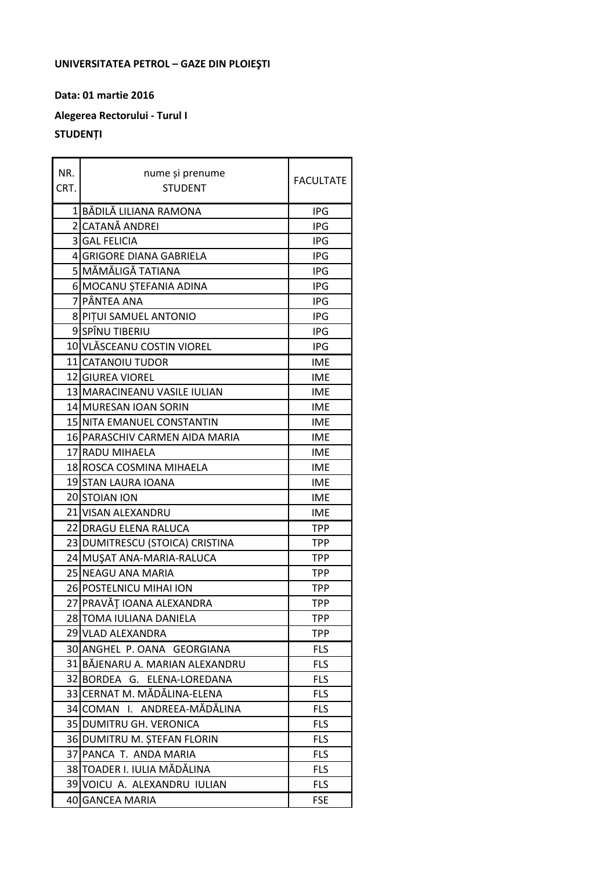## UNIVERSITATEA PETROL - GAZE DIN PLOIEȘTI

## Data: 01 martie 2016

## Alegerea Rectorului - Turul I

## **STUDENȚI**

| NR.  | nume și prenume                 | <b>FACULTATE</b> |
|------|---------------------------------|------------------|
| CRT. | <b>STUDENT</b>                  |                  |
|      | 1 BĂDILĂ LILIANA RAMONA         | <b>IPG</b>       |
|      | 2 CATANĂ ANDREI                 | <b>IPG</b>       |
|      | 3 GAL FELICIA                   | <b>IPG</b>       |
|      | 4 GRIGORE DIANA GABRIELA        | <b>IPG</b>       |
|      | 5 MĂMĂLIGĂ TATIANA              | <b>IPG</b>       |
|      | 6 MOCANU ȘTEFANIA ADINA         | <b>IPG</b>       |
|      | 7 PÂNTEA ANA                    | <b>IPG</b>       |
|      | 8 PITUI SAMUEL ANTONIO          | IPG              |
|      | 9 SPÎNU TIBERIU                 | <b>IPG</b>       |
|      | 10 VLĂSCEANU COSTIN VIOREL      | <b>IPG</b>       |
|      | 11 CATANOIU TUDOR               | <b>IME</b>       |
|      | 12 GIUREA VIOREL                | <b>IME</b>       |
|      | 13 MARACINEANU VASILE IULIAN    | <b>IME</b>       |
|      | 14 MURESAN IOAN SORIN           | <b>IME</b>       |
|      | 15 NITA EMANUEL CONSTANTIN      | <b>IME</b>       |
|      | 16 PARASCHIV CARMEN AIDA MARIA  | <b>IME</b>       |
|      | 17 RADU MIHAELA                 | <b>IME</b>       |
|      | 18 ROSCA COSMINA MIHAELA        | <b>IME</b>       |
|      | 19 STAN LAURA IOANA             | <b>IME</b>       |
|      | 20 STOIAN ION                   | <b>IME</b>       |
|      | 21 VISAN ALEXANDRU              | <b>IME</b>       |
|      | 22 DRAGU ELENA RALUCA           | <b>TPP</b>       |
|      | 23 DUMITRESCU (STOICA) CRISTINA | <b>TPP</b>       |
|      | 24 MUŞAT ANA-MARIA-RALUCA       | <b>TPP</b>       |
|      | 25 NEAGU ANA MARIA              | <b>TPP</b>       |
|      | 26 POSTELNICU MIHAI ION         | <b>TPP</b>       |
|      | 27 PRAVĂȚ IOANA ALEXANDRA       | <b>TPP</b>       |
|      | 28 TOMA IULIANA DANIELA         | <b>TPP</b>       |
|      | 29 VLAD ALEXANDRA               | <b>TPP</b>       |
|      | 30 ANGHEL P. OANA GEORGIANA     | <b>FLS</b>       |
|      | 31 BĂJENARU A. MARIAN ALEXANDRU | <b>FLS</b>       |
|      | 32 BORDEA G. ELENA-LOREDANA     | <b>FLS</b>       |
|      | 33 CERNAT M. MĂDĂLINA-ELENA     | <b>FLS</b>       |
|      | ANDREEA-MĂDĂLINA<br>34ICOMAN I. | <b>FLS</b>       |
|      | 35 DUMITRU GH. VERONICA         | <b>FLS</b>       |
|      | 36 DUMITRU M. ȘTEFAN FLORIN     | <b>FLS</b>       |
|      | 37 PANCA T. ANDA MARIA          | <b>FLS</b>       |
|      | 38 TOADER I. IULIA MĂDĂLINA     | <b>FLS</b>       |
|      | 39 VOICU A. ALEXANDRU IULIAN    | <b>FLS</b>       |
|      | 40 GANCEA MARIA                 | <b>FSE</b>       |